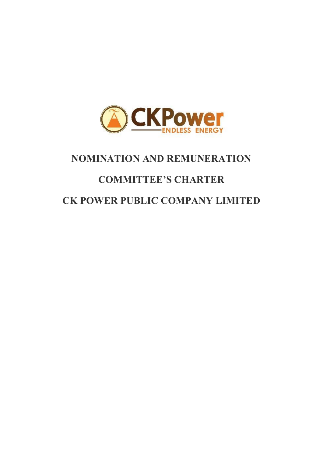

# **NOMINATION AND REMUNERATION**

# **COMMITTEE'S CHARTER**

# **CK POWER PUBLIC COMPANY LIMITED**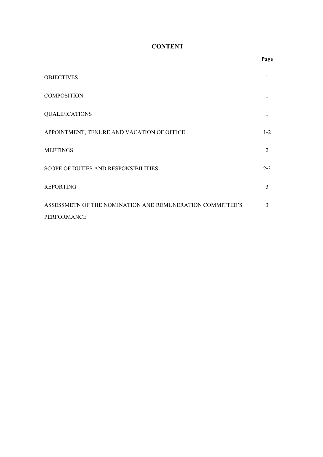## **CONTENT**

|                                                           | - - 0   |
|-----------------------------------------------------------|---------|
| <b>OBJECTIVES</b>                                         | 1       |
| <b>COMPOSITION</b>                                        | 1       |
| <b>QUALIFICATIONS</b>                                     | 1       |
| APPOINTMENT, TENURE AND VACATION OF OFFICE                | $1 - 2$ |
| <b>MEETINGS</b>                                           | 2       |
| SCOPE OF DUTIES AND RESPONSIBILITIES                      | $2 - 3$ |
| <b>REPORTING</b>                                          | 3       |
| ASSESSMETN OF THE NOMINATION AND REMUNERATION COMMITTEE'S | 3       |
| PERFORMANCE                                               |         |

#### **Page**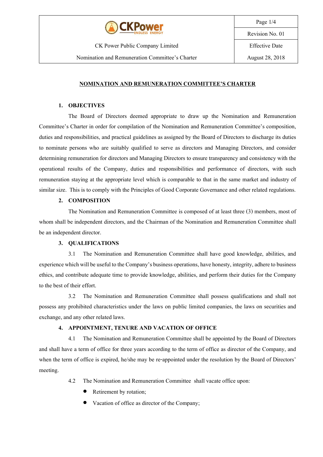

CK Power Public Company Limited Nomination and Remuneration Committee's Charter Page 1/4

Revision No. 01

Effective Date

#### **NOMINATION AND REMUNERATION COMMITTEE'S CHARTER**

#### **1. OBJECTIVES**

The Board of Directors deemed appropriate to draw up the Nomination and Remuneration Committee's Charter in order for compilation of the Nomination and Remuneration Committee's composition, duties and responsibilities, and practical guidelines as assigned by the Board of Directors to discharge its duties to nominate persons who are suitably qualified to serve as directors and Managing Directors, and consider determining remuneration for directors and Managing Directors to ensure transparency and consistency with the operational results of the Company, duties and responsibilities and performance of directors, with such remuneration staying at the appropriate level which is comparable to that in the same market and industry of similar size. This is to comply with the Principles of Good Corporate Governance and other related regulations.

#### **2. COMPOSITION**

The Nomination and Remuneration Committee is composed of at least three (3) members, most of whom shall be independent directors, and the Chairman of the Nomination and Remuneration Committee shall be an independent director.

#### **3. QUALIFICATIONS**

3.1 The Nomination and Remuneration Committee shall have good knowledge, abilities, and experience which will be useful to the Company's business operations, have honesty, integrity, adhere to business ethics, and contribute adequate time to provide knowledge, abilities, and perform their duties for the Company to the best of their effort.

3.2 The Nomination and Remuneration Committee shall possess qualifications and shall not possess any prohibited characteristics under the laws on public limited companies, the laws on securities and exchange, and any other related laws.

#### **4. APPOINTMENT, TENURE AND VACATION OF OFFICE**

4.1 The Nomination and Remuneration Committee shall be appointed by the Board of Directors and shall have a term of office for three years according to the term of office as director of the Company, and when the term of office is expired, he/she may be re-appointed under the resolution by the Board of Directors' meeting.

- 4.2 The Nomination and Remuneration Committee shall vacate office upon:
	- Retirement by rotation;
	- Vacation of office as director of the Company;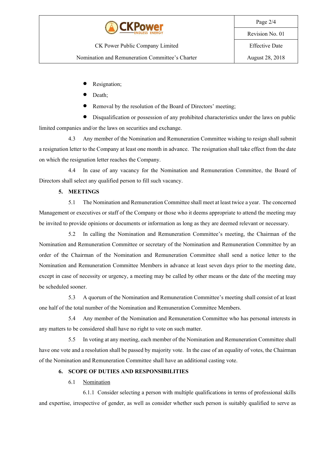

CK Power Public Company Limited

Nomination and Remuneration Committee's Charter

- Resignation;
- Death;
- Removal by the resolution of the Board of Directors' meeting;

• Disqualification or possession of any prohibited characteristics under the laws on public limited companies and/or the laws on securities and exchange.

4.3 Any member of the Nomination and Remuneration Committee wishing to resign shall submit a resignation letter to the Companyat least one month in advance. The resignation shall take effect from the date on which the resignation letter reaches the Company.

4.4 In case of any vacancy for the Nomination and Remuneration Committee, the Board of Directors shall select any qualified person to fill such vacancy.

### **5. MEETINGS**

5.1 The Nomination and Remuneration Committee shall meet at least twicea year. The concerned Management or executives or staff of the Company or those who it deems appropriate to attend the meeting may be invited to provide opinions or documents or information as long as they are deemed relevant or necessary.

5.2 In calling the Nomination and Remuneration Committee's meeting, the Chairman of the Nomination and Remuneration Committee or secretary of the Nomination and Remuneration Committee by an order of the Chairman of the Nomination and Remuneration Committee shall send a notice letter to the Nomination and Remuneration Committee Members in advance at least seven days prior to the meeting date, except in case of necessity or urgency, a meeting may be called by other means or the date of the meeting may be scheduled sooner.

5.3 A quorum of the Nomination and Remuneration Committee's meeting shall consist of at least one half of the total number of the Nomination and Remuneration Committee Members.

5.4 Any member of the Nomination and Remuneration Committee who has personal interests in any matters to be considered shall have no right to vote on such matter.

5.5 In voting at any meeting, each member of the Nomination and Remuneration Committee shall have one vote and a resolution shall be passed by majority vote. In the case of an equality of votes, the Chairman of the Nomination and Remuneration Committee shall have an additional casting vote.

### **6. SCOPE OF DUTIES AND RESPONSIBILITIES**

### 6.1 Nomination

6.1.1 Consider selecting a person with multiple qualifications in terms of professional skills and expertise, irrespective of gender, as well as consider whether such person is suitably qualified to serve as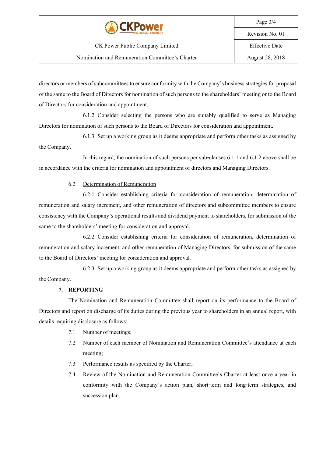

directors or members of subcommittees to ensure conformity with the Company's business strategies for proposal of the same tothe Board of Directors for nomination of such persons to the shareholders' meetingor to the Board of Directors for consideration and appointment.

6.1.2 Consider selecting the persons who are suitably qualified to serve as Managing Directors for nomination of such persons to the Board of Directors for consideration and appointment.

6.1.3 Set up a working group as it deems appropriate and perform other tasks as assigned by the Company.

In this regard, the nomination of such persons per sub-clauses 6.1.1 and 6.1.2 above shall be in accordance with the criteria for nomination and appointment of directors and Managing Directors.

#### 6.2 Determination of Remuneration

6.2.1 Consider establishing criteria for consideration of remuneration, determination of remuneration and salary increment, and other remuneration of directors and subcommittee members to ensure consistency with the Company's operational results and dividend payment to shareholders, for submission of the same to the shareholders' meeting for consideration and approval.

6.2.2 Consider establishing criteria for consideration of remuneration, determination of remuneration and salary increment, and other remuneration of Managing Directors, for submission of the same to the Board of Directors' meeting for consideration and approval.

6.2.3 Set up a working group as it deems appropriate and perform other tasks as assigned by the Company.

#### **7. REPORTING**

The Nomination and Remuneration Committee shall report on its performance to the Board of Directors and report on discharge of its duties during the previous year to shareholders in an annual report, with details requiring disclosure as follows:

- 7.1 Number of meetings;
- 7.2 Number of each member of Nomination and Remuneration Committee's attendance at each meeting;
- 7.3 Performance results as specified by the Charter;
- 7.4 Review of the Nomination and Remuneration Committee's Charter at least once a year in conformity with the Company's action plan, short-term and long-term strategies, and succession plan.